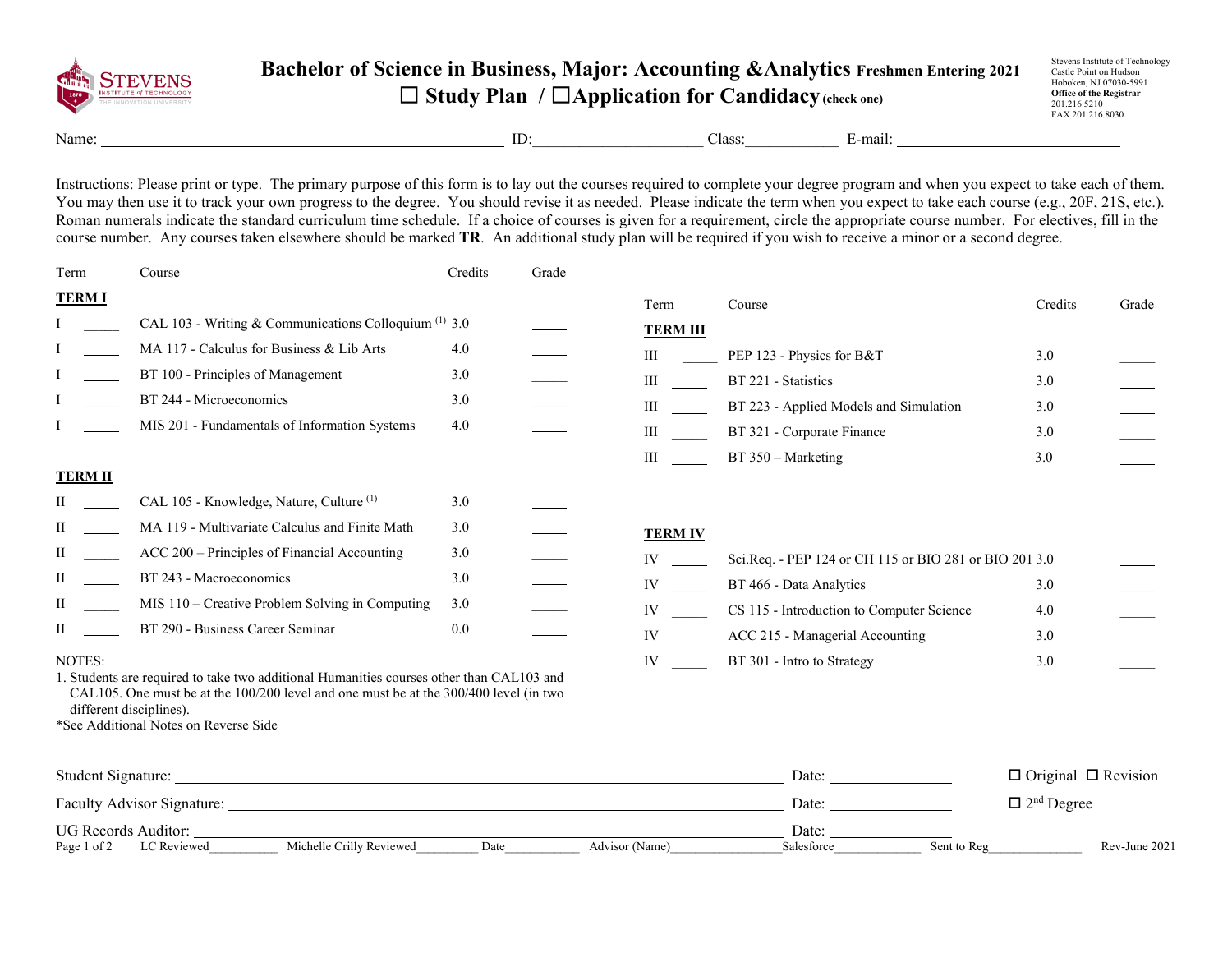

## **Bachelor of Science in Business, Major: Accounting &Analytics Freshmen Entering 2021** ☐ **Study Plan /** ☐**Application for Candidacy(check one)**

Stevens Institute of Technology Castle Point on Hudson Hoboken, NJ 07030-5991 **Office of the Registrar** 201.216.5210 FAX 201.216.8030

Name: ID:\_\_\_\_\_\_\_\_\_\_\_\_\_\_\_\_\_\_\_\_\_\_ Class:\_\_\_\_\_\_\_\_\_\_\_\_ E-mail:

Instructions: Please print or type. The primary purpose of this form is to lay out the courses required to complete your degree program and when you expect to take each of them. You may then use it to track your own progress to the degree. You should revise it as needed. Please indicate the term when you expect to take each course (e.g., 20F, 21S, etc.). Roman numerals indicate the standard curriculum time schedule. If a choice of courses is given for a requirement, circle the appropriate course number. For electives, fill in the course number. Any courses taken elsewhere should be marked **TR**. An additional study plan will be required if you wish to receive a minor or a second degree.

| Term           | Course                                                                                                                                                                                                                                                    | Credits | Grade |                 |                                                        |         |       |
|----------------|-----------------------------------------------------------------------------------------------------------------------------------------------------------------------------------------------------------------------------------------------------------|---------|-------|-----------------|--------------------------------------------------------|---------|-------|
| <b>TERMI</b>   |                                                                                                                                                                                                                                                           |         |       | Term            | Course                                                 | Credits | Grade |
|                | CAL 103 - Writing & Communications Colloquium (1) 3.0                                                                                                                                                                                                     |         |       | <b>TERM III</b> |                                                        |         |       |
|                | MA 117 - Calculus for Business & Lib Arts                                                                                                                                                                                                                 | 4.0     |       | Ш               | PEP 123 - Physics for B&T                              | 3.0     |       |
|                | BT 100 - Principles of Management                                                                                                                                                                                                                         | 3.0     |       | III             | BT 221 - Statistics                                    | 3.0     |       |
|                | BT 244 - Microeconomics                                                                                                                                                                                                                                   | 3.0     |       | Ш               | BT 223 - Applied Models and Simulation                 | 3.0     |       |
|                | MIS 201 - Fundamentals of Information Systems                                                                                                                                                                                                             | 4.0     |       | Ш               | BT 321 - Corporate Finance                             | 3.0     |       |
|                |                                                                                                                                                                                                                                                           |         |       | Ш               | $BT 350 - Marketing$                                   | 3.0     |       |
| <b>TERM II</b> |                                                                                                                                                                                                                                                           |         |       |                 |                                                        |         |       |
|                | CAL 105 - Knowledge, Nature, Culture <sup>(1)</sup>                                                                                                                                                                                                       | 3.0     |       |                 |                                                        |         |       |
| П              | MA 119 - Multivariate Calculus and Finite Math                                                                                                                                                                                                            | 3.0     |       | <b>TERM IV</b>  |                                                        |         |       |
| П              | ACC 200 – Principles of Financial Accounting                                                                                                                                                                                                              | 3.0     |       | IV              | Sci.Req. - PEP 124 or CH 115 or BIO 281 or BIO 201 3.0 |         |       |
| П              | BT 243 - Macroeconomics                                                                                                                                                                                                                                   | 3.0     |       | IV              | BT 466 - Data Analytics                                | 3.0     |       |
| П              | MIS 110 - Creative Problem Solving in Computing                                                                                                                                                                                                           | 3.0     |       | IV              | CS 115 - Introduction to Computer Science              | 4.0     |       |
| П              | BT 290 - Business Career Seminar                                                                                                                                                                                                                          | 0.0     |       | IV              | ACC 215 - Managerial Accounting                        | 3.0     |       |
| NOTES:         | 1. Students are required to take two additional Humanities courses other than CAL103 and<br>CAL105. One must be at the $100/200$ level and one must be at the $300/400$ level (in two<br>different disciplines).<br>*See Additional Notes on Reverse Side |         |       | IV              | BT 301 - Intro to Strategy                             | 3.0     |       |

| Student Signature:                |                          |      |                | Date:      |             | $\Box$ Original $\Box$ Revision |
|-----------------------------------|--------------------------|------|----------------|------------|-------------|---------------------------------|
| <b>Faculty Advisor Signature:</b> |                          |      |                | Date:      |             | $\Box$ 2 <sup>nd</sup> Degree   |
| UG Records Auditor:               |                          |      |                | Date:      |             |                                 |
| LC Reviewed<br>Page 1 of 2        | Michelle Crilly Reviewed | Date | Advisor (Name) | Salesforce | Sent to Reg | Rev-June 2021                   |